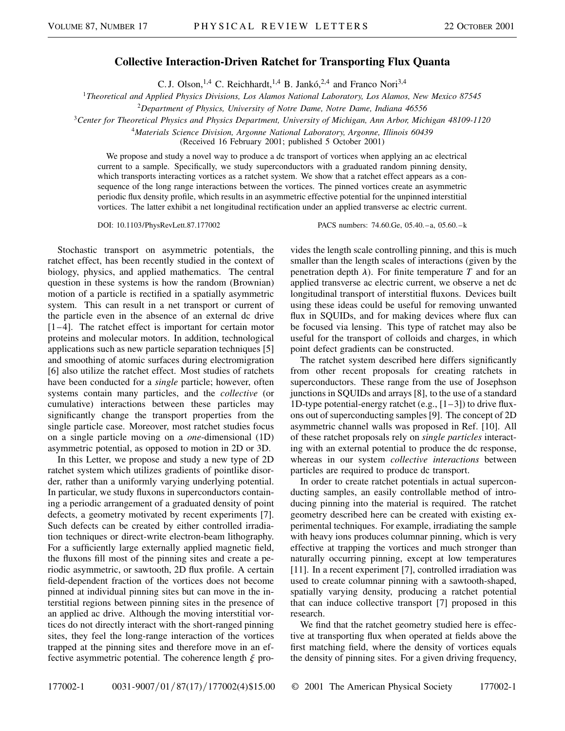## **Collective Interaction-Driven Ratchet for Transporting Flux Quanta**

C. J. Olson,<sup>1,4</sup> C. Reichhardt,<sup>1,4</sup> B. Jankó,<sup>2,4</sup> and Franco Nori<sup>3,4</sup>

<sup>1</sup>*Theoretical and Applied Physics Divisions, Los Alamos National Laboratory, Los Alamos, New Mexico 87545*

<sup>2</sup>*Department of Physics, University of Notre Dame, Notre Dame, Indiana 46556*

<sup>3</sup>*Center for Theoretical Physics and Physics Department, University of Michigan, Ann Arbor, Michigan 48109-1120*

<sup>4</sup>*Materials Science Division, Argonne National Laboratory, Argonne, Illinois 60439*

(Received 16 February 2001; published 5 October 2001)

We propose and study a novel way to produce a dc transport of vortices when applying an ac electrical current to a sample. Specifically, we study superconductors with a graduated random pinning density, which transports interacting vortices as a ratchet system. We show that a ratchet effect appears as a consequence of the long range interactions between the vortices. The pinned vortices create an asymmetric periodic flux density profile, which results in an asymmetric effective potential for the unpinned interstitial vortices. The latter exhibit a net longitudinal rectification under an applied transverse ac electric current.

DOI: 10.1103/PhysRevLett.87.177002 PACS numbers: 74.60.Ge, 05.40.–a, 05.60.–k

Stochastic transport on asymmetric potentials, the ratchet effect, has been recently studied in the context of biology, physics, and applied mathematics. The central question in these systems is how the random (Brownian) motion of a particle is rectified in a spatially asymmetric system. This can result in a net transport or current of the particle even in the absence of an external dc drive  $[1-4]$ . The ratchet effect is important for certain motor proteins and molecular motors. In addition, technological applications such as new particle separation techniques [5] and smoothing of atomic surfaces during electromigration [6] also utilize the ratchet effect. Most studies of ratchets have been conducted for a *single* particle; however, often systems contain many particles, and the *collective* (or cumulative) interactions between these particles may significantly change the transport properties from the single particle case. Moreover, most ratchet studies focus on a single particle moving on a *one*-dimensional (1D) asymmetric potential, as opposed to motion in 2D or 3D.

In this Letter, we propose and study a new type of 2D ratchet system which utilizes gradients of pointlike disorder, rather than a uniformly varying underlying potential. In particular, we study fluxons in superconductors containing a periodic arrangement of a graduated density of point defects, a geometry motivated by recent experiments [7]. Such defects can be created by either controlled irradiation techniques or direct-write electron-beam lithography. For a sufficiently large externally applied magnetic field, the fluxons fill most of the pinning sites and create a periodic asymmetric, or sawtooth, 2D flux profile. A certain field-dependent fraction of the vortices does not become pinned at individual pinning sites but can move in the interstitial regions between pinning sites in the presence of an applied ac drive. Although the moving interstitial vortices do not directly interact with the short-ranged pinning sites, they feel the long-range interaction of the vortices trapped at the pinning sites and therefore move in an effective asymmetric potential. The coherence length  $\xi$  provides the length scale controlling pinning, and this is much smaller than the length scales of interactions (given by the penetration depth  $\lambda$ ). For finite temperature *T* and for an applied transverse ac electric current, we observe a net dc longitudinal transport of interstitial fluxons. Devices built using these ideas could be useful for removing unwanted flux in SQUIDs, and for making devices where flux can be focused via lensing. This type of ratchet may also be useful for the transport of colloids and charges, in which point defect gradients can be constructed.

The ratchet system described here differs significantly from other recent proposals for creating ratchets in superconductors. These range from the use of Josephson junctions in SQUIDs and arrays [8], to the use of a standard 1D-type potential-energy ratchet (e.g.,  $[1-3]$ ) to drive fluxons out of superconducting samples [9]. The concept of 2D asymmetric channel walls was proposed in Ref. [10]. All of these ratchet proposals rely on *single particles* interacting with an external potential to produce the dc response, whereas in our system *collective interactions* between particles are required to produce dc transport.

In order to create ratchet potentials in actual superconducting samples, an easily controllable method of introducing pinning into the material is required. The ratchet geometry described here can be created with existing experimental techniques. For example, irradiating the sample with heavy ions produces columnar pinning, which is very effective at trapping the vortices and much stronger than naturally occurring pinning, except at low temperatures [11]. In a recent experiment [7], controlled irradiation was used to create columnar pinning with a sawtooth-shaped, spatially varying density, producing a ratchet potential that can induce collective transport [7] proposed in this research.

We find that the ratchet geometry studied here is effective at transporting flux when operated at fields above the first matching field, where the density of vortices equals the density of pinning sites. For a given driving frequency,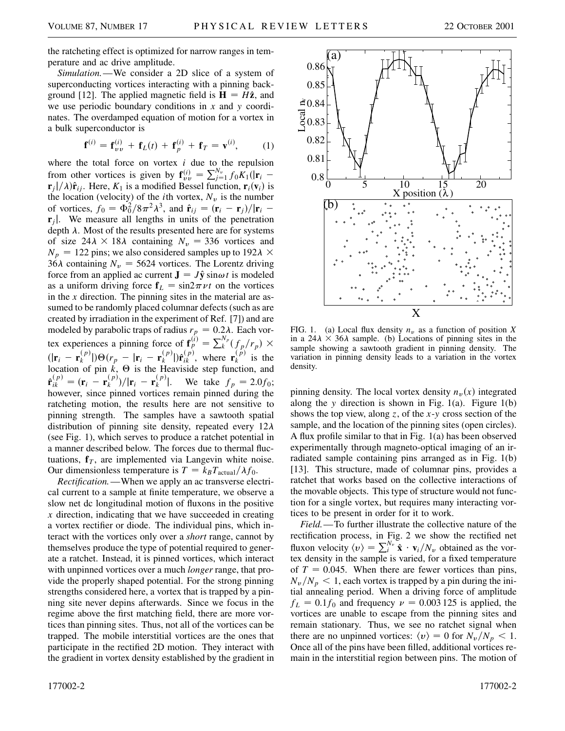the ratcheting effect is optimized for narrow ranges in temperature and ac drive amplitude.

*Simulation.*—We consider a 2D slice of a system of superconducting vortices interacting with a pinning background [12]. The applied magnetic field is  $H = H\hat{z}$ , and we use periodic boundary conditions in *x* and *y* coordinates. The overdamped equation of motion for a vortex in a bulk superconductor is

$$
\mathbf{f}^{(i)} = \mathbf{f}_{\nu\nu}^{(i)} + \mathbf{f}_L(t) + \mathbf{f}_p^{(i)} + \mathbf{f}_T = \mathbf{v}^{(i)},
$$
 (1)

where the total force on vortex *i* due to the repulsion from other vortices is given by  $\mathbf{f}_{vv}^{(i)} = \sum_{j=1}^{N_v} f_0 K_1(|\mathbf{r}_i - \mathbf{r}_j|)$  $\mathbf{r}_j$  |/ $\lambda$ ) $\hat{\mathbf{r}}_{ij}$ . Here,  $K_1$  is a modified Bessel function,  $\mathbf{r}_i(\mathbf{v}_i)$  is the location (velocity) of the *i*th vortex,  $N_v$  is the number of vortices,  $f_0 = \Phi_0^2 / 8\pi^2 \lambda^3$ , and  $\hat{\mathbf{r}}_{ij} = (\mathbf{r}_i - \mathbf{r}_j)/|\mathbf{r}_i - \mathbf{r}_j|$  $\mathbf{r}_i$ . We measure all lengths in units of the penetration depth  $\lambda$ . Most of the results presented here are for systems of size  $24\lambda \times 18\lambda$  containing  $N_v = 336$  vortices and  $N_p = 122$  pins; we also considered samples up to  $192\lambda \times$ 36 $\lambda$  containing  $N_v = 5624$  vortices. The Lorentz driving force from an applied ac current  $J = J\hat{y} \sin \omega t$  is modeled as a uniform driving force  $f_L = \sin 2\pi \nu t$  on the vortices in the *x* direction. The pinning sites in the material are assumed to be randomly placed columnar defects (such as are created by irradiation in the experiment of Ref. [7]) and are modeled by parabolic traps of radius  $r_p = 0.2\lambda$ . Each vortex experiences a pinning force of  $\mathbf{f}_p^{(i)} = \sum_{k}^{N_p} (f_p/r_p) \times$  $(|\mathbf{r}_i - \mathbf{r}_k^{(p)}|) \Theta(r_p - |\mathbf{r}_i - \mathbf{r}_k^{(p)}|) \hat{\mathbf{r}}_{ik}^{(p)}$ , where  $\mathbf{r}_k^{(p)}$  is the location of pin  $k$ ,  $\Theta$  is the Heaviside step function, and  $\hat{\mathbf{r}}_{ik}^{(p)} = (\mathbf{r}_i - \mathbf{r}_k^{(p)})/|\mathbf{r}_i - \mathbf{r}_k^{(p)}|$ . We take  $f_p = 2.0f_0$ ; however, since pinned vortices remain pinned during the ratcheting motion, the results here are not sensitive to pinning strength. The samples have a sawtooth spatial distribution of pinning site density, repeated every  $12\lambda$ (see Fig. 1), which serves to produce a ratchet potential in a manner described below. The forces due to thermal fluctuations,  $f<sub>T</sub>$ , are implemented via Langevin white noise. Our dimensionless temperature is  $T = k_B T_{\text{actual}} / \lambda f_0$ .

*Rectification.*—When we apply an ac transverse electrical current to a sample at finite temperature, we observe a slow net dc longitudinal motion of fluxons in the positive *x* direction, indicating that we have succeeded in creating a vortex rectifier or diode. The individual pins, which interact with the vortices only over a *short* range, cannot by themselves produce the type of potential required to generate a ratchet. Instead, it is pinned vortices, which interact with unpinned vortices over a much *longer* range, that provide the properly shaped potential. For the strong pinning strengths considered here, a vortex that is trapped by a pinning site never depins afterwards. Since we focus in the regime above the first matching field, there are more vortices than pinning sites. Thus, not all of the vortices can be trapped. The mobile interstitial vortices are the ones that participate in the rectified 2D motion. They interact with the gradient in vortex density established by the gradient in



FIG. 1. (a) Local flux density  $n<sub>v</sub>$  as a function of position *X* in a  $24\lambda \times 36\lambda$  sample. (b) Locations of pinning sites in the sample showing a sawtooth gradient in pinning density. The variation in pinning density leads to a variation in the vortex density.

pinning density. The local vortex density  $n<sub>v</sub>(x)$  integrated along the *y* direction is shown in Fig. 1(a). Figure 1(b) shows the top view, along *z*, of the *x*-*y* cross section of the sample, and the location of the pinning sites (open circles). A flux profile similar to that in Fig. 1(a) has been observed experimentally through magneto-optical imaging of an irradiated sample containing pins arranged as in Fig. 1(b) [13]. This structure, made of columnar pins, provides a ratchet that works based on the collective interactions of the movable objects. This type of structure would not function for a single vortex, but requires many interacting vortices to be present in order for it to work.

*Field.*—To further illustrate the collective nature of the rectification process, in Fig. 2 we show the rectified net<br>fluxon velocity  $\langle v \rangle = \sum_i^{N_v} \hat{\mathbf{x}} \cdot \mathbf{v}_i / N_v$  obtained as the vortex density in the sample is varied, for a fixed temperature of  $T = 0.045$ . When there are fewer vortices than pins,  $N_v/N_p < 1$ , each vortex is trapped by a pin during the initial annealing period. When a driving force of amplitude  $f_L = 0.1 f_0$  and frequency  $\nu = 0.003 125$  is applied, the vortices are unable to escape from the pinning sites and remain stationary. Thus, we see no ratchet signal when there are no unpinned vortices:  $\langle v \rangle = 0$  for  $N_v / N_p < 1$ . Once all of the pins have been filled, additional vortices remain in the interstitial region between pins. The motion of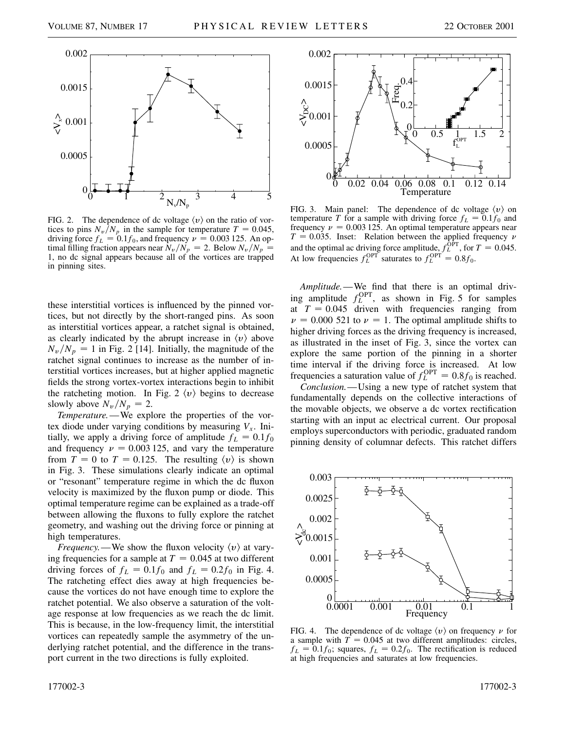

FIG. 2. The dependence of dc voltage  $\langle v \rangle$  on the ratio of vortices to pins  $N_v/N_p$  in the sample for temperature  $T = 0.045$ , driving force  $f_L = 0.1f_0$ , and frequency  $\nu = 0.003$  125. An optimal filling fraction appears near  $N_v/N_p = 2$ . Below  $N_v/N_p = 1$ 1, no dc signal appears because all of the vortices are trapped in pinning sites.

these interstitial vortices is influenced by the pinned vortices, but not directly by the short-ranged pins. As soon as interstitial vortices appear, a ratchet signal is obtained, as clearly indicated by the abrupt increase in  $\langle v \rangle$  above  $N_v/N_p = 1$  in Fig. 2 [14]. Initially, the magnitude of the ratchet signal continues to increase as the number of interstitial vortices increases, but at higher applied magnetic fields the strong vortex-vortex interactions begin to inhibit the ratcheting motion. In Fig. 2  $\langle v \rangle$  begins to decrease slowly above  $N_v/N_p = 2$ .

*Temperature.*—We explore the properties of the vortex diode under varying conditions by measuring  $V_x$ . Initially, we apply a driving force of amplitude  $f_L = 0.1 f_0$ and frequency  $\nu = 0.003$  125, and vary the temperature from  $T = 0$  to  $T = 0.125$ . The resulting  $\langle v \rangle$  is shown in Fig. 3. These simulations clearly indicate an optimal or "resonant" temperature regime in which the dc fluxon velocity is maximized by the fluxon pump or diode. This optimal temperature regime can be explained as a trade-off between allowing the fluxons to fully explore the ratchet geometry, and washing out the driving force or pinning at high temperatures.

*Frequency.*—We show the fluxon velocity  $\langle v \rangle$  at varying frequencies for a sample at  $T = 0.045$  at two different driving forces of  $f_L = 0.1f_0$  and  $f_L = 0.2f_0$  in Fig. 4. The ratcheting effect dies away at high frequencies because the vortices do not have enough time to explore the ratchet potential. We also observe a saturation of the voltage response at low frequencies as we reach the dc limit. This is because, in the low-frequency limit, the interstitial vortices can repeatedly sample the asymmetry of the underlying ratchet potential, and the difference in the transport current in the two directions is fully exploited.



FIG. 3. Main panel: The dependence of dc voltage  $\langle v \rangle$  on temperature *T* for a sample with driving force  $f_L = 0.1 f_0$  and frequency  $\nu = 0.003$  125. An optimal temperature appears near  $T = 0.035$ . Inset: Relation between the applied frequency  $\nu$ and the optimal ac driving force amplitude,  $f_L^{\text{OPT}}$ , for  $T = 0.045$ . At low frequencies  $f_L^{\text{OPT}}$  saturates to  $f_L^{\text{OPT}} = 0.8 f_0$ .

*Amplitude.*—We find that there is an optimal driving amplitude  $f_L^{\text{OPT}}$ , as shown in Fig. 5 for samples at  $T = 0.045$  driven with frequencies ranging from  $\nu = 0.000$  521 to  $\nu = 1$ . The optimal amplitude shifts to higher driving forces as the driving frequency is increased, as illustrated in the inset of Fig. 3, since the vortex can explore the same portion of the pinning in a shorter time interval if the driving force is increased. At low frequencies a saturation value of  $f_L^{\text{OPT}} = 0.8 f_0$  is reached.

*Conclusion.*—Using a new type of ratchet system that fundamentally depends on the collective interactions of the movable objects, we observe a dc vortex rectification starting with an input ac electrical current. Our proposal employs superconductors with periodic, graduated random pinning density of columnar defects. This ratchet differs



FIG. 4. The dependence of dc voltage  $\langle v \rangle$  on frequency  $\nu$  for a sample with  $T = 0.045$  at two different amplitudes: circles,  $f_L = 0.1f_0$ ; squares,  $f_L = 0.2f_0$ . The rectification is reduced at high frequencies and saturates at low frequencies.